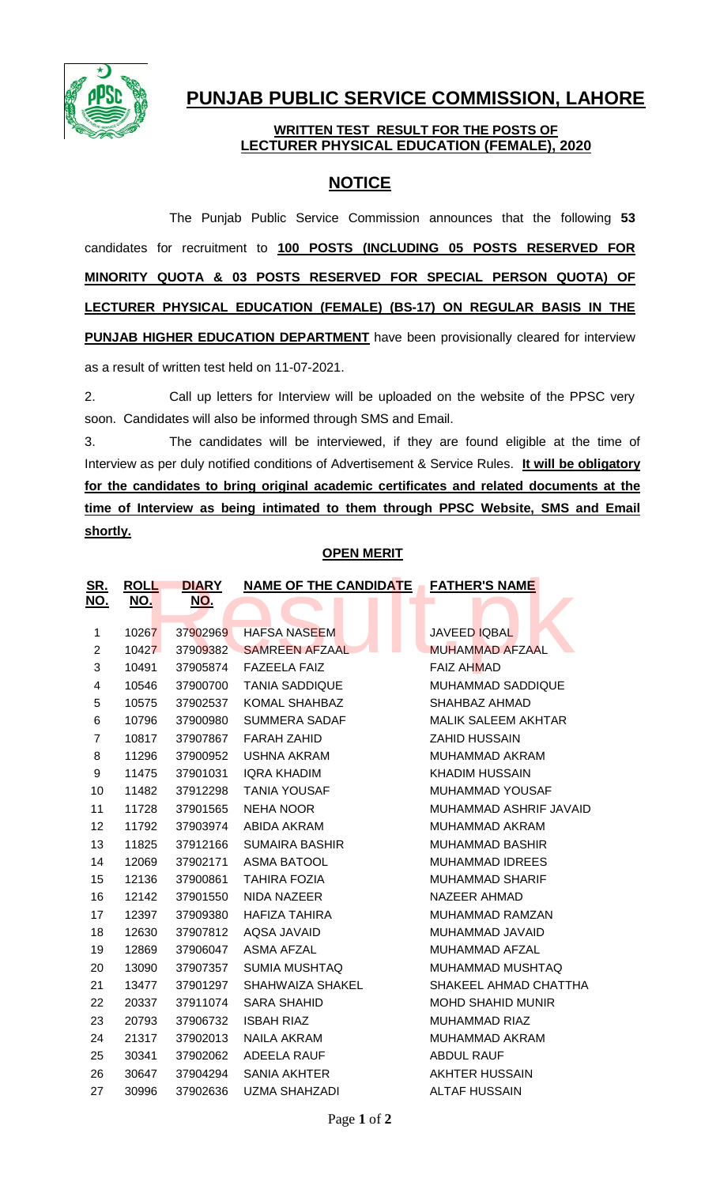

# **PUNJAB PUBLIC SERVICE COMMISSION, LAHORE**

### **WRITTEN TEST RESULT FOR THE POSTS OF LECTURER PHYSICAL EDUCATION (FEMALE), 2020**

## **NOTICE**

The Punjab Public Service Commission announces that the following **53** candidates for recruitment to **100 POSTS (INCLUDING 05 POSTS RESERVED FOR MINORITY QUOTA & 03 POSTS RESERVED FOR SPECIAL PERSON QUOTA) OF LECTURER PHYSICAL EDUCATION (FEMALE) (BS-17) ON REGULAR BASIS IN THE PUNJAB HIGHER EDUCATION DEPARTMENT** have been provisionally cleared for interview as a result of written test held on 11-07-2021.

2. Call up letters for Interview will be uploaded on the website of the PPSC very soon. Candidates will also be informed through SMS and Email.

3. The candidates will be interviewed, if they are found eligible at the time of Interview as per duly notified conditions of Advertisement & Service Rules. **It will be obligatory for the candidates to bring original academic certificates and related documents at the time of Interview as being intimated to them through PPSC Website, SMS and Email shortly.**

### **OPEN MERIT**

| <u>SR.</u><br><u>NO.</u> | <b>ROLL</b><br><u>NO.</u> | <b>DIARY</b><br><u>NO.</u> | NAME OF THE CANDIDATE FATHER'S NAME<br>L. | $\sim$                     |
|--------------------------|---------------------------|----------------------------|-------------------------------------------|----------------------------|
|                          |                           |                            |                                           |                            |
| 1                        | 10267                     | 37902969                   | <b>HAFSA NASEEM</b>                       | <b>JAVEED IQBAL</b>        |
| $\overline{2}$           | 10427                     | 37909382                   | <b>SAMREEN AFZAAL</b>                     | <b>MUHAMMAD AFZAAL</b>     |
| 3                        | 10491                     | 37905874                   | <b>FAZEELA FAIZ</b>                       | <b>FAIZ AHMAD</b>          |
| 4                        | 10546                     | 37900700                   | <b>TANIA SADDIQUE</b>                     | <b>MUHAMMAD SADDIQUE</b>   |
| 5                        | 10575                     | 37902537                   | <b>KOMAL SHAHBAZ</b>                      | SHAHBAZ AHMAD              |
| 6                        | 10796                     | 37900980                   | <b>SUMMERA SADAF</b>                      | <b>MALIK SALEEM AKHTAR</b> |
| $\overline{7}$           | 10817                     | 37907867                   | <b>FARAH ZAHID</b>                        | <b>ZAHID HUSSAIN</b>       |
| 8                        | 11296                     | 37900952                   | <b>USHNA AKRAM</b>                        | <b>MUHAMMAD AKRAM</b>      |
| 9                        | 11475                     | 37901031                   | <b>IQRA KHADIM</b>                        | <b>KHADIM HUSSAIN</b>      |
| 10                       | 11482                     | 37912298                   | <b>TANIA YOUSAF</b>                       | <b>MUHAMMAD YOUSAF</b>     |
| 11                       | 11728                     | 37901565                   | <b>NEHA NOOR</b>                          | MUHAMMAD ASHRIF JAVAID     |
| 12                       | 11792                     | 37903974                   | ABIDA AKRAM                               | <b>MUHAMMAD AKRAM</b>      |
| 13                       | 11825                     | 37912166                   | <b>SUMAIRA BASHIR</b>                     | <b>MUHAMMAD BASHIR</b>     |
| 14                       | 12069                     | 37902171                   | <b>ASMA BATOOL</b>                        | <b>MUHAMMAD IDREES</b>     |
| 15                       | 12136                     | 37900861                   | <b>TAHIRA FOZIA</b>                       | <b>MUHAMMAD SHARIF</b>     |
| 16                       | 12142                     | 37901550                   | <b>NIDA NAZEER</b>                        | <b>NAZEER AHMAD</b>        |
| 17                       | 12397                     | 37909380                   | <b>HAFIZA TAHIRA</b>                      | <b>MUHAMMAD RAMZAN</b>     |
| 18                       | 12630                     | 37907812                   | AQSA JAVAID                               | MUHAMMAD JAVAID            |
| 19                       | 12869                     | 37906047                   | <b>ASMA AFZAL</b>                         | MUHAMMAD AFZAL             |
| 20                       | 13090                     | 37907357                   | <b>SUMIA MUSHTAQ</b>                      | MUHAMMAD MUSHTAQ           |
| 21                       | 13477                     | 37901297                   | SHAHWAIZA SHAKEL                          | SHAKEEL AHMAD CHATTHA      |
| 22                       | 20337                     | 37911074                   | <b>SARA SHAHID</b>                        | <b>MOHD SHAHID MUNIR</b>   |
| 23                       | 20793                     | 37906732                   | <b>ISBAH RIAZ</b>                         | <b>MUHAMMAD RIAZ</b>       |
| 24                       | 21317                     | 37902013                   | <b>NAILA AKRAM</b>                        | MUHAMMAD AKRAM             |
| 25                       | 30341                     | 37902062                   | ADEELA RAUF                               | <b>ABDUL RAUF</b>          |
| 26                       | 30647                     | 37904294                   | <b>SANIA AKHTER</b>                       | <b>AKHTER HUSSAIN</b>      |
| 27                       | 30996                     | 37902636                   | <b>UZMA SHAHZADI</b>                      | <b>ALTAF HUSSAIN</b>       |